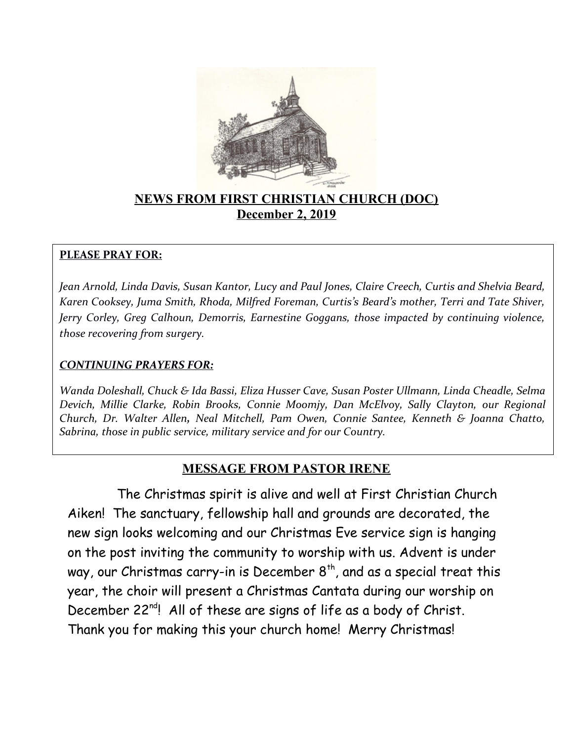

## **NEWS FROM FIRST CHRISTIAN CHURCH (DOC) December 2, 2019**

#### **PLEASE PRAY FOR:**

*Jean Arnold, Linda Davis, Susan Kantor, Lucy and Paul Jones, Claire Creech, Curtis and Shelvia Beard, Karen Cooksey, Juma Smith, Rhoda, Milfred Foreman, Curtis's Beard's mother, Terri and Tate Shiver, Jerry Corley, Greg Calhoun, Demorris, Earnestine Goggans, those impacted by continuing violence, those recovering from surgery.* 

#### *CONTINUING PRAYERS FOR:*

*Wanda Doleshall, Chuck & Ida Bassi, Eliza Husser Cave, Susan Poster Ullmann, Linda Cheadle, Selma Devich, Millie Clarke, Robin Brooks, Connie Moomjy, Dan McElvoy, Sally Clayton, our Regional Church, Dr. Walter Allen, Neal Mitchell, Pam Owen, Connie Santee, Kenneth & Joanna Chatto, Sabrina, those in public service, military service and for our Country.*

## **MESSAGE FROM PASTOR IRENE**

 The Christmas spirit is alive and well at First Christian Church Aiken! The sanctuary, fellowship hall and grounds are decorated, the new sign looks welcoming and our Christmas Eve service sign is hanging on the post inviting the community to worship with us. Advent is under way, our Christmas carry-in is December  $8<sup>th</sup>$ , and as a special treat this year, the choir will present a Christmas Cantata during our worship on December 22<sup>nd</sup>! All of these are signs of life as a body of Christ. Thank you for making this your church home! Merry Christmas!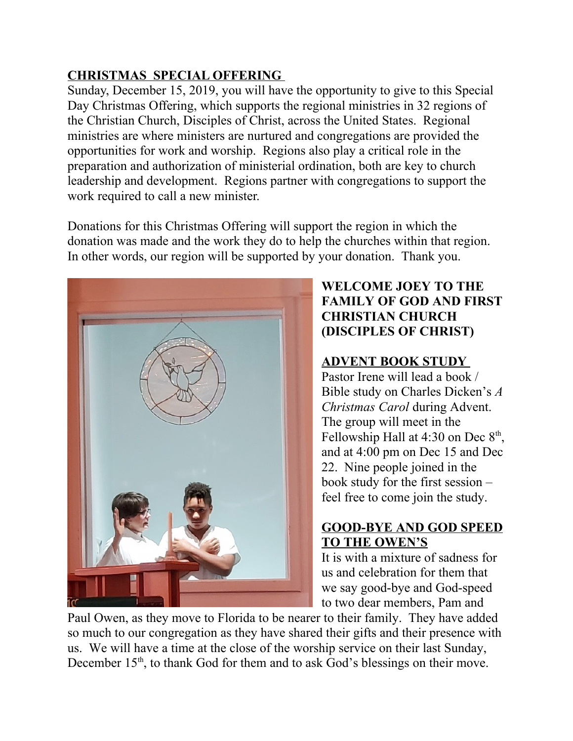# **CHRISTMAS SPECIAL OFFERING**

Sunday, December 15, 2019, you will have the opportunity to give to this Special Day Christmas Offering, which supports the regional ministries in 32 regions of the Christian Church, Disciples of Christ, across the United States. Regional ministries are where ministers are nurtured and congregations are provided the opportunities for work and worship. Regions also play a critical role in the preparation and authorization of ministerial ordination, both are key to church leadership and development. Regions partner with congregations to support the work required to call a new minister.

Donations for this Christmas Offering will support the region in which the donation was made and the work they do to help the churches within that region. In other words, our region will be supported by your donation. Thank you.



## **WELCOME JOEY TO THE FAMILY OF GOD AND FIRST CHRISTIAN CHURCH (DISCIPLES OF CHRIST)**

# **ADVENT BOOK STUDY**

Pastor Irene will lead a book / Bible study on Charles Dicken's *A Christmas Carol* during Advent. The group will meet in the Fellowship Hall at 4:30 on Dec  $8<sup>th</sup>$ , and at 4:00 pm on Dec 15 and Dec 22. Nine people joined in the book study for the first session – feel free to come join the study.

## **GOOD-BYE AND GOD SPEED TO THE OWEN'S**

It is with a mixture of sadness for us and celebration for them that we say good-bye and God-speed to two dear members, Pam and

Paul Owen, as they move to Florida to be nearer to their family. They have added so much to our congregation as they have shared their gifts and their presence with us. We will have a time at the close of the worship service on their last Sunday, December  $15<sup>th</sup>$ , to thank God for them and to ask God's blessings on their move.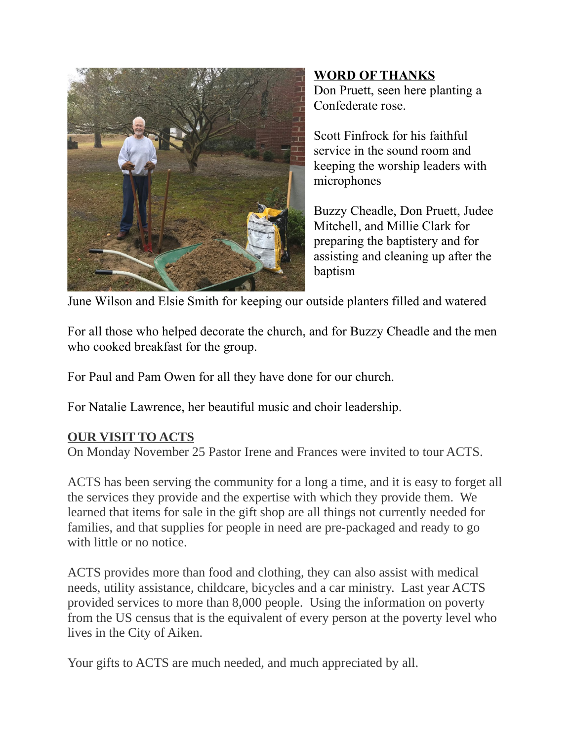

**WORD OF THANKS** Don Pruett, seen here planting a Confederate rose.

Scott Finfrock for his faithful service in the sound room and keeping the worship leaders with microphones

Buzzy Cheadle, Don Pruett, Judee Mitchell, and Millie Clark for preparing the baptistery and for assisting and cleaning up after the baptism

June Wilson and Elsie Smith for keeping our outside planters filled and watered

For all those who helped decorate the church, and for Buzzy Cheadle and the men who cooked breakfast for the group.

For Paul and Pam Owen for all they have done for our church.

For Natalie Lawrence, her beautiful music and choir leadership.

## **OUR VISIT TO ACTS**

On Monday November 25 Pastor Irene and Frances were invited to tour ACTS.

ACTS has been serving the community for a long a time, and it is easy to forget all the services they provide and the expertise with which they provide them. We learned that items for sale in the gift shop are all things not currently needed for families, and that supplies for people in need are pre-packaged and ready to go with little or no notice.

ACTS provides more than food and clothing, they can also assist with medical needs, utility assistance, childcare, bicycles and a car ministry. Last year ACTS provided services to more than 8,000 people. Using the information on poverty from the US census that is the equivalent of every person at the poverty level who lives in the City of Aiken.

Your gifts to ACTS are much needed, and much appreciated by all.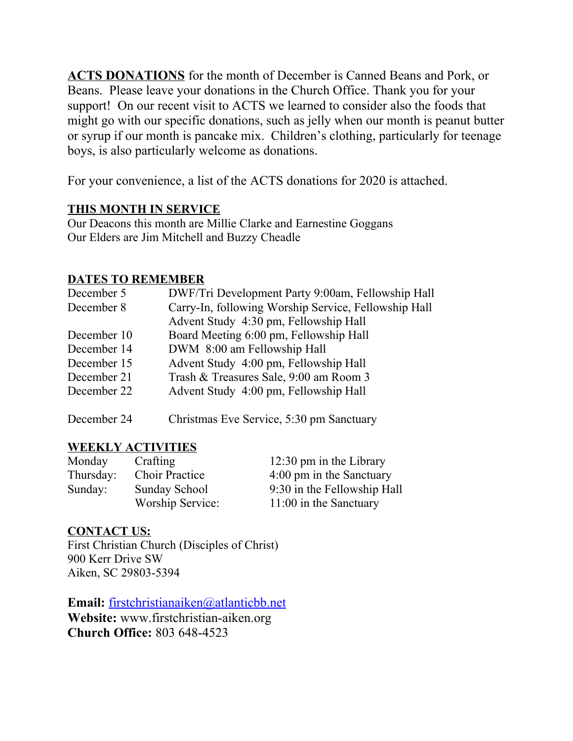**ACTS DONATIONS** for the month of December is Canned Beans and Pork, or Beans. Please leave your donations in the Church Office. Thank you for your support! On our recent visit to ACTS we learned to consider also the foods that might go with our specific donations, such as jelly when our month is peanut butter or syrup if our month is pancake mix. Children's clothing, particularly for teenage boys, is also particularly welcome as donations.

For your convenience, a list of the ACTS donations for 2020 is attached.

## **THIS MONTH IN SERVICE**

Our Deacons this month are Millie Clarke and Earnestine Goggans Our Elders are Jim Mitchell and Buzzy Cheadle

#### **DATES TO REMEMBER**

| December 5  | DWF/Tri Development Party 9:00am, Fellowship Hall    |
|-------------|------------------------------------------------------|
| December 8  | Carry-In, following Worship Service, Fellowship Hall |
|             | Advent Study 4:30 pm, Fellowship Hall                |
| December 10 | Board Meeting 6:00 pm, Fellowship Hall               |
| December 14 | DWM 8:00 am Fellowship Hall                          |
| December 15 | Advent Study 4:00 pm, Fellowship Hall                |
| December 21 | Trash & Treasures Sale, 9:00 am Room 3               |
| December 22 | Advent Study 4:00 pm, Fellowship Hall                |
|             |                                                      |

December 24 Christmas Eve Service, 5:30 pm Sanctuary

## **WEEKLY ACTIVITIES**

| Monday    | Crafting              | $12:30 \text{ pm}$ in the Library |
|-----------|-----------------------|-----------------------------------|
| Thursday: | <b>Choir Practice</b> | 4:00 pm in the Sanctuary          |
| Sunday:   | Sunday School         | 9:30 in the Fellowship Hall       |
|           | Worship Service:      | $11:00$ in the Sanctuary          |

#### **CONTACT US:**

First Christian Church (Disciples of Christ) 900 Kerr Drive SW Aiken, SC 29803-5394

**Email:** [firstchristianaiken@atlanticbb.net](mailto:firstchristianaiken@atlanticbb.net) **Website:** www.firstchristian-aiken.org **Church Office:** 803 648-4523